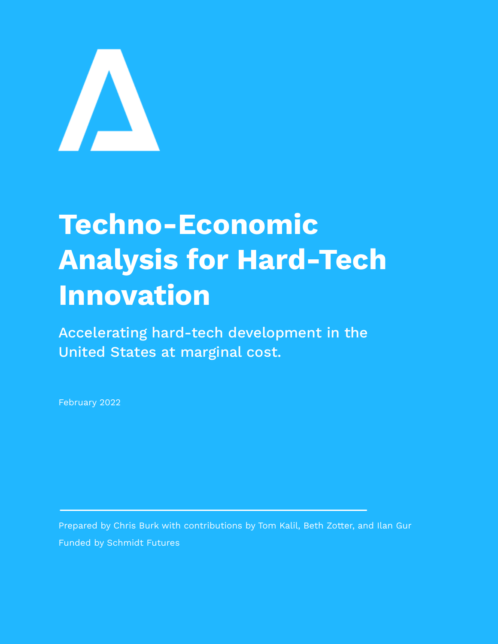

# **Techno-Economic Analysis for Hard-Tech Innovation**

Accelerating hard-tech development in the United States at marginal cost.

February 2022

Prepared by Chris Burk with contributions by Tom Kalil, Beth Zotter, and Ilan Gur Funded by Schmidt Futures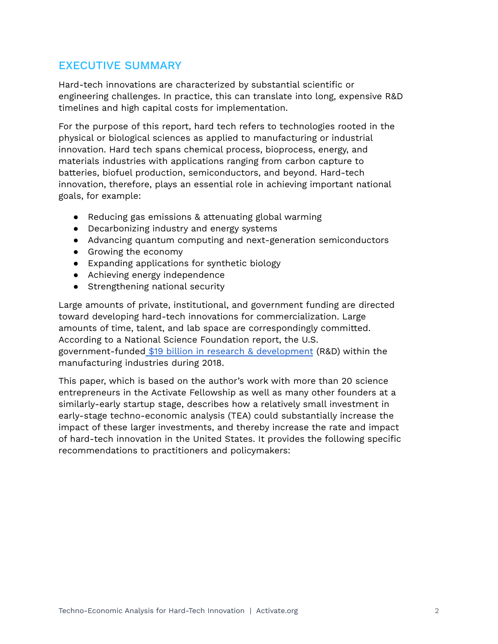# EXECUTIVE SUMMARY

Hard-tech innovations are characterized by substantial scientific or engineering challenges. In practice, this can translate into long, expensive R&D timelines and high capital costs for implementation.

For the purpose of this report, hard tech refers to technologies rooted in the physical or biological sciences as applied to manufacturing or industrial innovation. Hard tech spans chemical process, bioprocess, energy, and materials industries with applications ranging from carbon capture to batteries, biofuel production, semiconductors, and beyond. Hard-tech innovation, therefore, plays an essential role in achieving important national goals, for example:

- Reducing gas emissions & attenuating global warming
- Decarbonizing industry and energy systems
- Advancing quantum computing and next-generation semiconductors
- Growing the economy
- Expanding applications for synthetic biology
- Achieving energy independence
- Strengthening national security

Large amounts of private, institutional, and government funding are directed toward developing hard-tech innovations for commercialization. Large amounts of time, talent, and lab space are correspondingly committed. According to a National Science Foundation report, the U.S. government-funded \$19 billion in research & [development](http://ncses.nsf.gov/pubs/nsf20316) (R&D) within the manufacturing industries during 2018.

This paper, which is based on the author's work with more than 20 science entrepreneurs in the Activate Fellowship as well as many other founders at a similarly-early startup stage, describes how a relatively small investment in early-stage techno-economic analysis (TEA) could substantially increase the impact of these larger investments, and thereby increase the rate and impact of hard-tech innovation in the United States. It provides the following specific recommendations to practitioners and policymakers: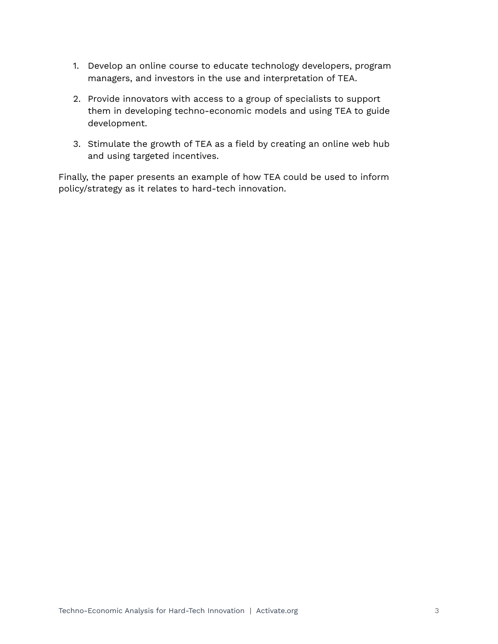- 1. Develop an online course to educate technology developers, program managers, and investors in the use and interpretation of TEA.
- 2. Provide innovators with access to a group of specialists to support them in developing techno-economic models and using TEA to guide development.
- 3. Stimulate the growth of TEA as a field by creating an online web hub and using targeted incentives.

Finally, the paper presents an example of how TEA could be used to inform policy/strategy as it relates to hard-tech innovation.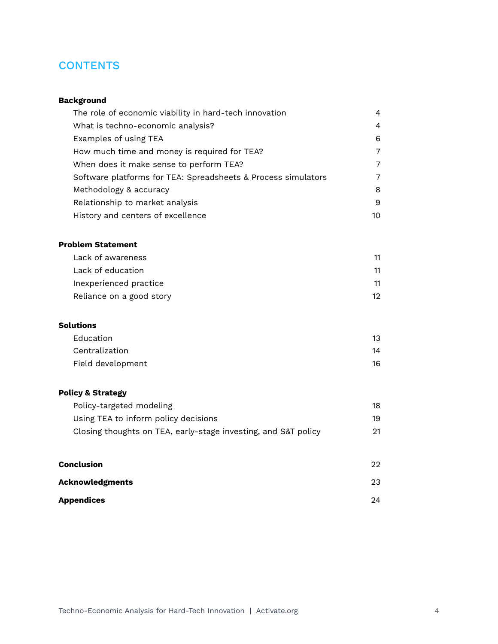# **CONTENTS**

### **Background**

| The role of economic viability in hard-tech innovation        | 4              |
|---------------------------------------------------------------|----------------|
| What is techno-economic analysis?                             | $\overline{a}$ |
| Examples of using TEA                                         | 6              |
| How much time and money is required for TEA?                  | 7              |
| When does it make sense to perform TEA?                       | 7              |
| Software platforms for TEA: Spreadsheets & Process simulators | 7              |
| Methodology & accuracy                                        | 8              |
| Relationship to market analysis                               | 9              |
| History and centers of excellence                             | 10             |

#### **Problem [Statement](#page-12-0)**

| Lack of awareness        | 11  |
|--------------------------|-----|
| Lack of education        | 11  |
| Inexperienced practice   | 11  |
| Reliance on a good story | 12. |

#### **[Solutions](#page-14-0)**

| Education         | 13 |
|-------------------|----|
| Centralization    | 14 |
| Field development | 16 |

### **Policy & Strategy**

| Policy-targeted modeling                                       | 18 |
|----------------------------------------------------------------|----|
| Using TEA to inform policy decisions                           | 19 |
| Closing thoughts on TEA, early-stage investing, and S&T policy | 21 |
|                                                                |    |

| Conclusion             | 22 |
|------------------------|----|
| <b>Acknowledgments</b> | 23 |
| Appendices             | 24 |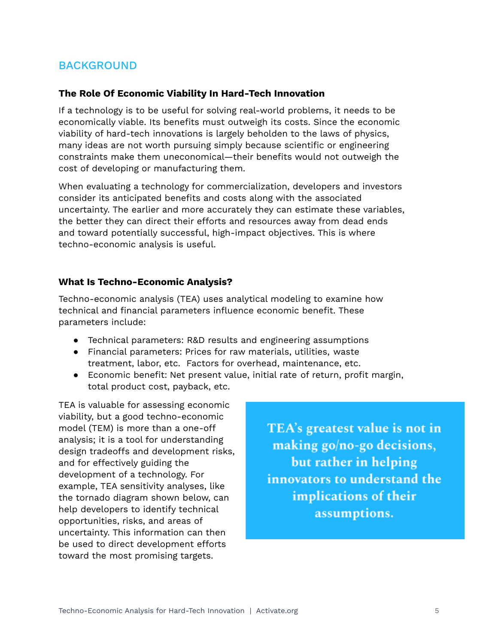# BACKGROUND

#### **The Role Of Economic Viability In Hard-Tech Innovation**

If a technology is to be useful for solving real-world problems, it needs to be economically viable. Its benefits must outweigh its costs. Since the economic viability of hard-tech innovations is largely beholden to the laws of physics, many ideas are not worth pursuing simply because scientific or engineering constraints make them uneconomical—their benefits would not outweigh the cost of developing or manufacturing them.

When evaluating a technology for commercialization, developers and investors consider its anticipated benefits and costs along with the associated uncertainty. The earlier and more accurately they can estimate these variables, the better they can direct their efforts and resources away from dead ends and toward potentially successful, high-impact objectives. This is where techno-economic analysis is useful.

## **What Is Techno-Economic Analysis?**

Techno-economic analysis (TEA) uses analytical modeling to examine how technical and financial parameters influence economic benefit. These parameters include:

- Technical parameters: R&D results and engineering assumptions
- Financial parameters: Prices for raw materials, utilities, waste treatment, labor, etc. Factors for overhead, maintenance, etc.
- Economic benefit: Net present value, initial rate of return, profit margin, total product cost, payback, etc.

TEA is valuable for assessing economic viability, but a good techno-economic model (TEM) is more than a one-off analysis; it is a tool for understanding design tradeoffs and development risks, and for effectively guiding the development of a technology. For example, TEA sensitivity analyses, like the tornado diagram shown below, can help developers to identify technical opportunities, risks, and areas of uncertainty. This information can then be used to direct development efforts toward the most promising targets.

TEA's greatest value is not in making go/no-go decisions, but rather in helping innovators to understand the implications of their assumptions.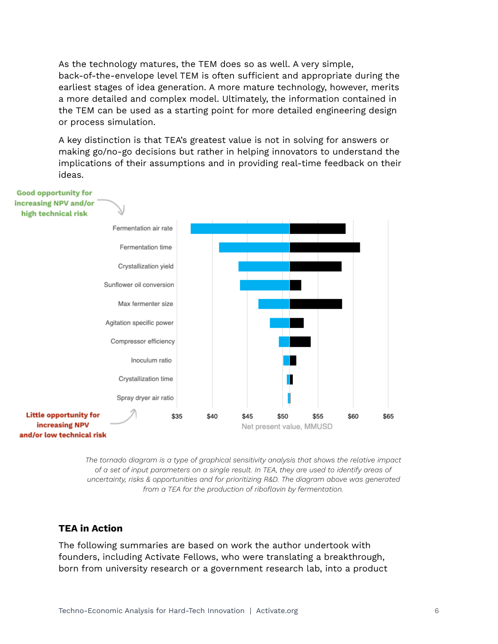As the technology matures, the TEM does so as well. A very simple, back-of-the-envelope level TEM is often sufficient and appropriate during the earliest stages of idea generation. A more mature technology, however, merits a more detailed and complex model. Ultimately, the information contained in the TEM can be used as a starting point for more detailed engineering design or process simulation.

A key distinction is that TEA's greatest value is not in solving for answers or making go/no-go decisions but rather in helping innovators to understand the implications of their assumptions and in providing real-time feedback on their ideas.



*The tornado diagram is a type of graphical sensitivity analysis that shows the relative impact of a set of input parameters on a single result. In TEA, they are used to identify areas of uncertainty, risks & opportunities and for prioritizing R&D. The diagram above was generated from a TEA for the production of riboflavin by fermentation.*

#### <span id="page-5-0"></span>**TEA in Action**

The following summaries are based on work the author undertook with founders, including Activate Fellows, who were translating a breakthrough, born from university research or a government research lab, into a product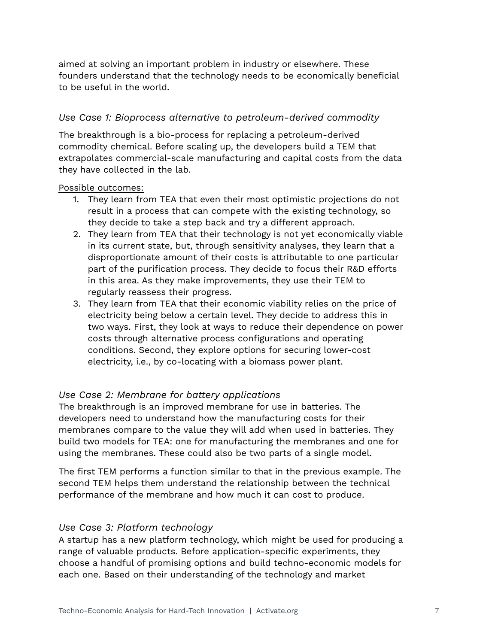aimed at solving an important problem in industry or elsewhere. These founders understand that the technology needs to be economically beneficial to be useful in the world.

## *Use Case 1: Bioprocess alternative to petroleum-derived commodity*

The breakthrough is a bio-process for replacing a petroleum-derived commodity chemical. Before scaling up, the developers build a TEM that extrapolates commercial-scale manufacturing and capital costs from the data they have collected in the lab.

#### Possible outcomes:

- 1. They learn from TEA that even their most optimistic projections do not result in a process that can compete with the existing technology, so they decide to take a step back and try a different approach.
- 2. They learn from TEA that their technology is not yet economically viable in its current state, but, through sensitivity analyses, they learn that a disproportionate amount of their costs is attributable to one particular part of the purification process. They decide to focus their R&D efforts in this area. As they make improvements, they use their TEM to regularly reassess their progress.
- 3. They learn from TEA that their economic viability relies on the price of electricity being below a certain level. They decide to address this in two ways. First, they look at ways to reduce their dependence on power costs through alternative process configurations and operating conditions. Second, they explore options for securing lower-cost electricity, i.e., by co-locating with a biomass power plant.

## *Use Case 2: Membrane for battery applications*

The breakthrough is an improved membrane for use in batteries. The developers need to understand how the manufacturing costs for their membranes compare to the value they will add when used in batteries. They build two models for TEA: one for manufacturing the membranes and one for using the membranes. These could also be two parts of a single model.

The first TEM performs a function similar to that in the previous example. The second TEM helps them understand the relationship between the technical performance of the membrane and how much it can cost to produce.

## <span id="page-6-0"></span>*Use Case 3: Platform technology*

A startup has a new platform technology, which might be used for producing a range of valuable products. Before application-specific experiments, they choose a handful of promising options and build techno-economic models for each one. Based on their understanding of the technology and market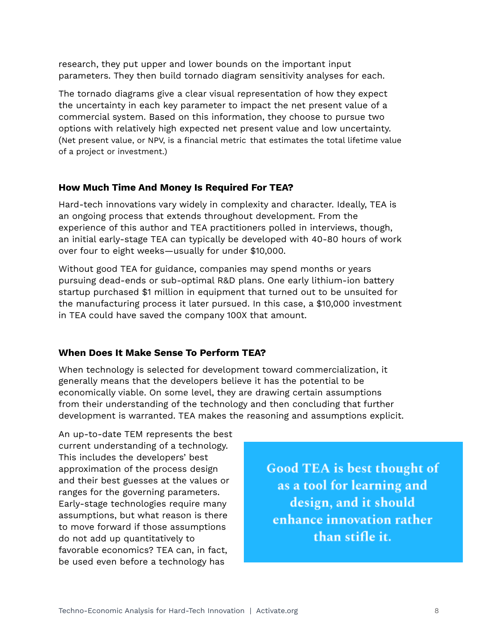research, they put upper and lower bounds on the important input parameters. They then build tornado diagram sensitivity analyses for each.

The tornado diagrams give a clear visual representation of how they expect the uncertainty in each key parameter to impact the net present value of a commercial system. Based on this information, they choose to pursue two options with relatively high expected net present value and low uncertainty. (Net present value, or NPV, is a financial metric that estimates the total lifetime value of a project or investment.)

## <span id="page-7-0"></span>**How Much Time And Money Is Required For TEA?**

Hard-tech innovations vary widely in complexity and character. Ideally, TEA is an ongoing process that extends throughout development. From the experience of this author and TEA practitioners polled in interviews, though, an initial early-stage TEA can typically be developed with 40-80 hours of work over four to eight weeks—usually for under \$10,000.

Without good TEA for guidance, companies may spend months or years pursuing dead-ends or sub-optimal R&D plans. One early lithium-ion battery startup purchased \$1 million in equipment that turned out to be unsuited for the manufacturing process it later pursued. In this case, a \$10,000 investment in TEA could have saved the company 100X that amount.

## <span id="page-7-1"></span>**When Does It Make Sense To Perform TEA?**

When technology is selected for development toward commercialization, it generally means that the developers believe it has the potential to be economically viable. On some level, they are drawing certain assumptions from their understanding of the technology and then concluding that further development is warranted. TEA makes the reasoning and assumptions explicit.

An up-to-date TEM represents the best current understanding of a technology. This includes the developers' best approximation of the process design and their best guesses at the values or ranges for the governing parameters. Early-stage technologies require many assumptions, but what reason is there to move forward if those assumptions do not add up quantitatively to favorable economics? TEA can, in fact, be used even before a technology has

**Good TEA is best thought of** as a tool for learning and design, and it should enhance innovation rather than stifle it.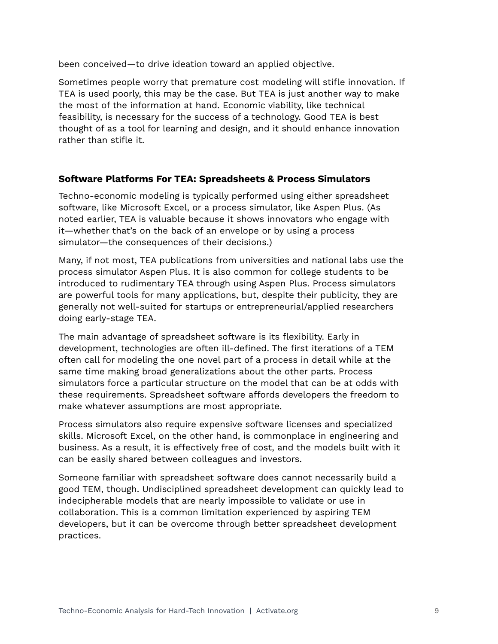been conceived—to drive ideation toward an applied objective.

Sometimes people worry that premature cost modeling will stifle innovation. If TEA is used poorly, this may be the case. But TEA is just another way to make the most of the information at hand. Economic viability, like technical feasibility, is necessary for the success of a technology. Good TEA is best thought of as a tool for learning and design, and it should enhance innovation rather than stifle it.

## <span id="page-8-0"></span>**Software Platforms For TEA: Spreadsheets & Process Simulators**

Techno-economic modeling is typically performed using either spreadsheet software, like Microsoft Excel, or a process simulator, like Aspen Plus. (As noted earlier, TEA is valuable because it shows innovators who engage with it—whether that's on the back of an envelope or by using a process simulator—the consequences of their decisions.)

Many, if not most, TEA publications from universities and national labs use the process simulator Aspen Plus. It is also common for college students to be introduced to rudimentary TEA through using Aspen Plus. Process simulators are powerful tools for many applications, but, despite their publicity, they are generally not well-suited for startups or entrepreneurial/applied researchers doing early-stage TEA.

The main advantage of spreadsheet software is its flexibility. Early in development, technologies are often ill-defined. The first iterations of a TEM often call for modeling the one novel part of a process in detail while at the same time making broad generalizations about the other parts. Process simulators force a particular structure on the model that can be at odds with these requirements. Spreadsheet software affords developers the freedom to make whatever assumptions are most appropriate.

Process simulators also require expensive software licenses and specialized skills. Microsoft Excel, on the other hand, is commonplace in engineering and business. As a result, it is effectively free of cost, and the models built with it can be easily shared between colleagues and investors.

Someone familiar with spreadsheet software does cannot necessarily build a good TEM, though. Undisciplined spreadsheet development can quickly lead to indecipherable models that are nearly impossible to validate or use in collaboration. This is a common limitation experienced by aspiring TEM developers, but it can be overcome through better spreadsheet development practices.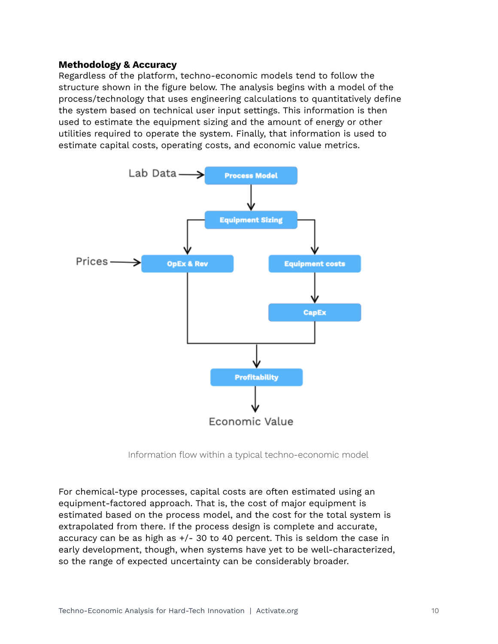#### **Methodology & Accuracy**

Regardless of the platform, techno-economic models tend to follow the structure shown in the figure below. The analysis begins with a model of the process/technology that uses engineering calculations to quantitatively define the system based on technical user input settings. This information is then used to estimate the equipment sizing and the amount of energy or other utilities required to operate the system. Finally, that information is used to estimate capital costs, operating costs, and economic value metrics.



Information flow within a typical techno-economic model

For chemical-type processes, capital costs are often estimated using an equipment-factored approach. That is, the cost of major equipment is estimated based on the process model, and the cost for the total system is extrapolated from there. If the process design is complete and accurate, accuracy can be as high as +/- 30 to 40 percent. This is seldom the case in early development, though, when systems have yet to be well-characterized, so the range of expected uncertainty can be considerably broader.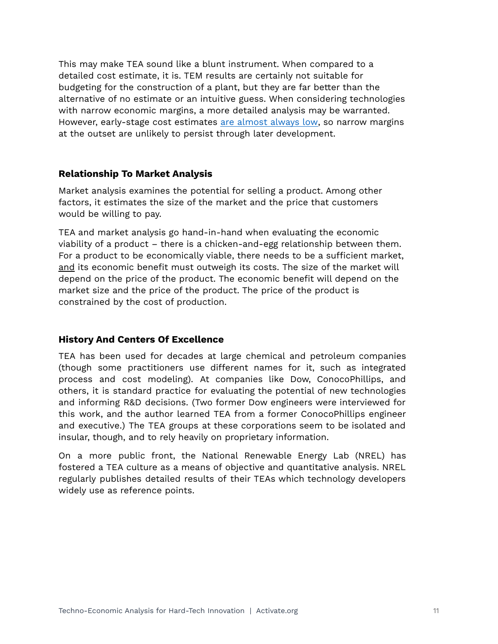This may make TEA sound like a blunt instrument. When compared to a detailed cost estimate, it is. TEM results are certainly not suitable for budgeting for the construction of a plant, but they are far better than the alternative of no estimate or an intuitive guess. When considering technologies with narrow economic margins, a more detailed analysis may be warranted. However, early-stage cost estimates are [almost](http://www.rand.org/content/dam/rand/pubs/papers/2005/P6869.pdf) always low, so narrow margins at the outset are unlikely to persist through later development.

#### <span id="page-10-0"></span>**Relationship To Market Analysis**

Market analysis examines the potential for selling a product. Among other factors, it estimates the size of the market and the price that customers would be willing to pay.

TEA and market analysis go hand-in-hand when evaluating the economic viability of a product – there is a chicken-and-egg relationship between them. For a product to be economically viable, there needs to be a sufficient market, and its economic benefit must outweigh its costs. The size of the market will depend on the price of the product. The economic benefit will depend on the market size and the price of the product. The price of the product is constrained by the cost of production.

## **History And Centers Of Excellence**

TEA has been used for decades at large chemical and petroleum companies (though some practitioners use different names for it, such as integrated process and cost modeling). At companies like Dow, ConocoPhillips, and others, it is standard practice for evaluating the potential of new technologies and informing R&D decisions. (Two former Dow engineers were interviewed for this work, and the author learned TEA from a former ConocoPhillips engineer and executive.) The TEA groups at these corporations seem to be isolated and insular, though, and to rely heavily on proprietary information.

On a more public front, the National Renewable Energy Lab (NREL) has fostered a TEA culture as a means of objective and quantitative analysis. NREL regularly publishes detailed results of their TEAs which technology developers widely use as reference points.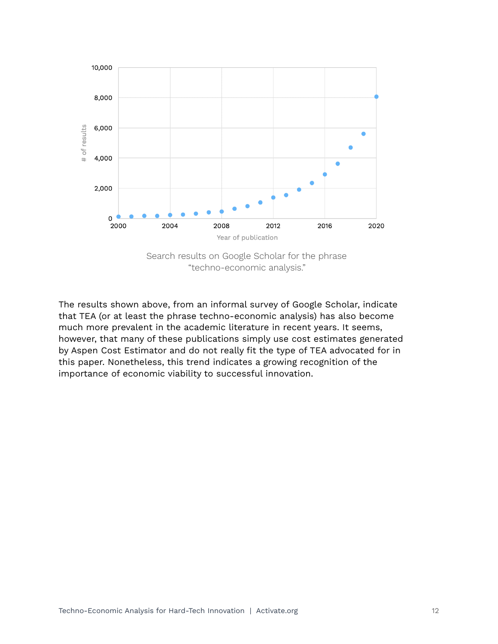

Search results on Google Scholar for the phrase "techno-economic analysis."

The results shown above, from an informal survey of Google Scholar, indicate that TEA (or at least the phrase techno-economic analysis) has also become much more prevalent in the academic literature in recent years. It seems, however, that many of these publications simply use cost estimates generated by Aspen Cost Estimator and do not really fit the type of TEA advocated for in this paper. Nonetheless, this trend indicates a growing recognition of the importance of economic viability to successful innovation.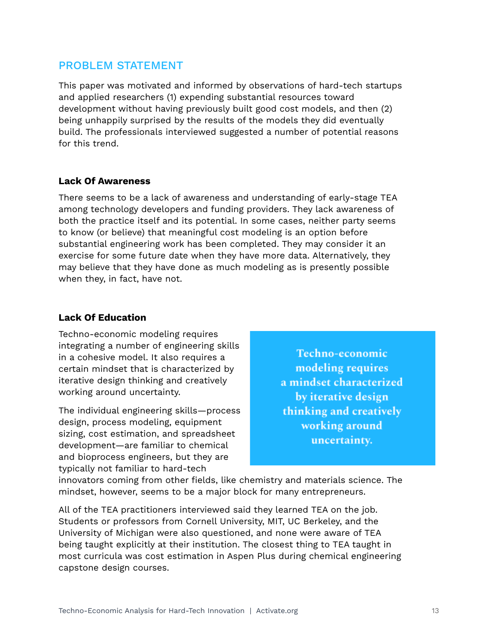# <span id="page-12-0"></span>PROBLEM STATEMENT

This paper was motivated and informed by observations of hard-tech startups and applied researchers (1) expending substantial resources toward development without having previously built good cost models, and then (2) being unhappily surprised by the results of the models they did eventually build. The professionals interviewed suggested a number of potential reasons for this trend.

#### <span id="page-12-1"></span>**Lack Of Awareness**

There seems to be a lack of awareness and understanding of early-stage TEA among technology developers and funding providers. They lack awareness of both the practice itself and its potential. In some cases, neither party seems to know (or believe) that meaningful cost modeling is an option before substantial engineering work has been completed. They may consider it an exercise for some future date when they have more data. Alternatively, they may believe that they have done as much modeling as is presently possible when they, in fact, have not.

#### <span id="page-12-2"></span>**Lack Of Education**

Techno-economic modeling requires integrating a number of engineering skills in a cohesive model. It also requires a certain mindset that is characterized by iterative design thinking and creatively working around uncertainty.

The individual engineering skills—process design, process modeling, equipment sizing, cost estimation, and spreadsheet development—are familiar to chemical and bioprocess engineers, but they are typically not familiar to hard-tech

Techno-economic modeling requires a mindset characterized by iterative design thinking and creatively working around uncertainty.

innovators coming from other fields, like chemistry and materials science. The mindset, however, seems to be a major block for many entrepreneurs.

All of the TEA practitioners interviewed said they learned TEA on the job. Students or professors from Cornell University, MIT, UC Berkeley, and the University of Michigan were also questioned, and none were aware of TEA being taught explicitly at their institution. The closest thing to TEA taught in most curricula was cost estimation in Aspen Plus during chemical engineering capstone design courses.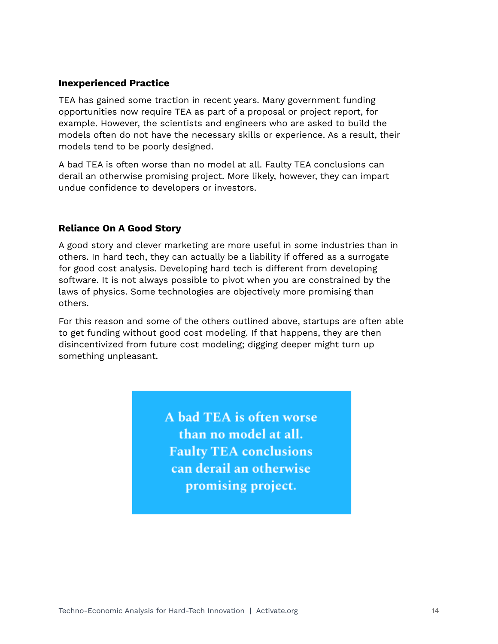#### <span id="page-13-0"></span>**Inexperienced Practice**

TEA has gained some traction in recent years. Many government funding opportunities now require TEA as part of a proposal or project report, for example. However, the scientists and engineers who are asked to build the models often do not have the necessary skills or experience. As a result, their models tend to be poorly designed.

A bad TEA is often worse than no model at all. Faulty TEA conclusions can derail an otherwise promising project. More likely, however, they can impart undue confidence to developers or investors.

## <span id="page-13-1"></span>**Reliance On A Good Story**

A good story and clever marketing are more useful in some industries than in others. In hard tech, they can actually be a liability if offered as a surrogate for good cost analysis. Developing hard tech is different from developing software. It is not always possible to pivot when you are constrained by the laws of physics. Some technologies are objectively more promising than others.

For this reason and some of the others outlined above, startups are often able to get funding without good cost modeling. If that happens, they are then disincentivized from future cost modeling; digging deeper might turn up something unpleasant.

> A bad TEA is often worse than no model at all. **Faulty TEA conclusions** can derail an otherwise promising project.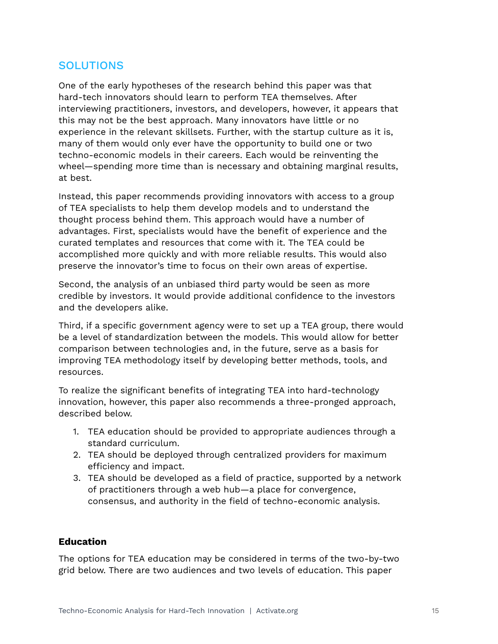# <span id="page-14-0"></span>**SOLUTIONS**

One of the early hypotheses of the research behind this paper was that hard-tech innovators should learn to perform TEA themselves. After interviewing practitioners, investors, and developers, however, it appears that this may not be the best approach. Many innovators have little or no experience in the relevant skillsets. Further, with the startup culture as it is, many of them would only ever have the opportunity to build one or two techno-economic models in their careers. Each would be reinventing the wheel—spending more time than is necessary and obtaining marginal results, at best.

Instead, this paper recommends providing innovators with access to a group of TEA specialists to help them develop models and to understand the thought process behind them. This approach would have a number of advantages. First, specialists would have the benefit of experience and the curated templates and resources that come with it. The TEA could be accomplished more quickly and with more reliable results. This would also preserve the innovator's time to focus on their own areas of expertise.

Second, the analysis of an unbiased third party would be seen as more credible by investors. It would provide additional confidence to the investors and the developers alike.

Third, if a specific government agency were to set up a TEA group, there would be a level of standardization between the models. This would allow for better comparison between technologies and, in the future, serve as a basis for improving TEA methodology itself by developing better methods, tools, and resources.

To realize the significant benefits of integrating TEA into hard-technology innovation, however, this paper also recommends a three-pronged approach, described below.

- 1. TEA education should be provided to appropriate audiences through a standard curriculum.
- 2. TEA should be deployed through centralized providers for maximum efficiency and impact.
- 3. TEA should be developed as a field of practice, supported by a network of practitioners through a web hub—a place for convergence, consensus, and authority in the field of techno-economic analysis.

#### <span id="page-14-1"></span>**Education**

The options for TEA education may be considered in terms of the two-by-two grid below. There are two audiences and two levels of education. This paper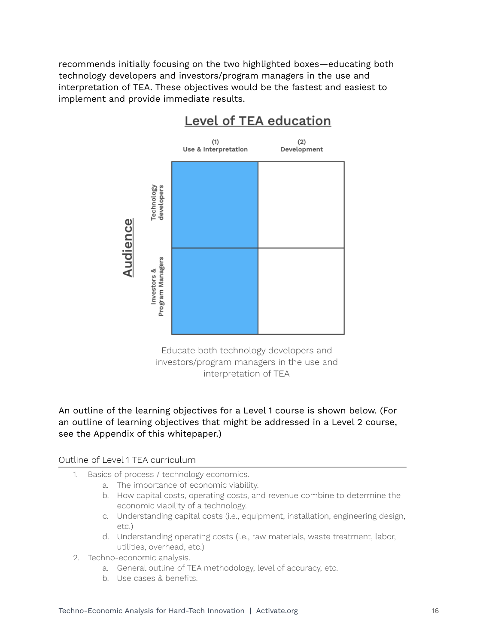recommends initially focusing on the two highlighted boxes—educating both technology developers and investors/program managers in the use and interpretation of TEA. These objectives would be the fastest and easiest to implement and provide immediate results.



# Level of TEA education

Educate both technology developers and investors/program managers in the use and interpretation of TEA

## An outline of the learning objectives for a Level 1 course is shown below. (For an outline of learning objectives that might be addressed in a Level 2 course, see the Appendix of this whitepaper.)

#### Outline of Level 1 TEA curriculum

- 1. Basics of process / technology economics.
	- a. The importance of economic viability.
	- b. How capital costs, operating costs, and revenue combine to determine the economic viability of a technology.
	- c. Understanding capital costs (i.e., equipment, installation, engineering design, etc.)
	- d. Understanding operating costs (i.e., raw materials, waste treatment, labor, utilities, overhead, etc.)
- 2. Techno-economic analysis.
	- a. General outline of TEA methodology, level of accuracy, etc.
	- b. Use cases & benefits.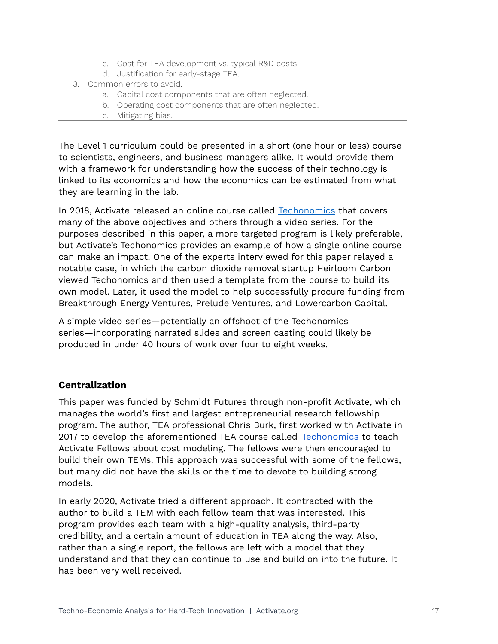- c. Cost for TEA development vs. typical R&D costs.
- d. Justification for early-stage TEA.
- 3. Common errors to avoid.
	- a. Capital cost components that are often neglected.
	- b. Operating cost components that are often neglected.
	- c. Mitigating bias.

The Level 1 curriculum could be presented in a short (one hour or less) course to scientists, engineers, and business managers alike. It would provide them with a framework for understanding how the success of their technology is linked to its economics and how the economics can be estimated from what they are learning in the lab.

In 2018, Activate released an online course called [Techonomics](http://www.activate.org/techonomics) that covers many of the above objectives and others through a video series. For the purposes described in this paper, a more targeted program is likely preferable, but Activate's Techonomics provides an example of how a single online course can make an impact. One of the experts interviewed for this paper relayed a notable case, in which the carbon dioxide removal startup Heirloom Carbon viewed Techonomics and then used a template from the course to build its own model. Later, it used the model to help successfully procure funding from Breakthrough Energy Ventures, Prelude Ventures, and Lowercarbon Capital.

A simple video series—potentially an offshoot of the Techonomics series—incorporating narrated slides and screen casting could likely be produced in under 40 hours of work over four to eight weeks.

## <span id="page-16-0"></span>**Centralization**

This paper was funded by Schmidt Futures through non-profit Activate, which manages the world's first and largest entrepreneurial research fellowship program. The author, TEA professional Chris Burk, first worked with Activate in 2017 to develop the aforementioned TEA course called [Techonomics](https://www.activate.org/techonomics) to teach Activate Fellows about cost modeling. The fellows were then encouraged to build their own TEMs. This approach was successful with some of the fellows, but many did not have the skills or the time to devote to building strong models.

In early 2020, Activate tried a different approach. It contracted with the author to build a TEM with each fellow team that was interested. This program provides each team with a high-quality analysis, third-party credibility, and a certain amount of education in TEA along the way. Also, rather than a single report, the fellows are left with a model that they understand and that they can continue to use and build on into the future. It has been very well received.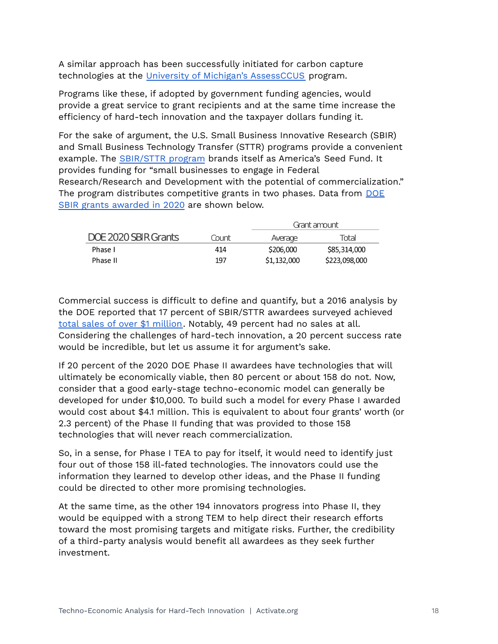A similar approach has been successfully initiated for carbon capture technologies at the University of Michigan's [AssessCCUS](http://assessccus.globalco2initiative.org) program.

Programs like these, if adopted by government funding agencies, would provide a great service to grant recipients and at the same time increase the efficiency of hard-tech innovation and the taxpayer dollars funding it.

For the sake of argument, the U.S. Small Business Innovative Research (SBIR) and Small Business Technology Transfer (STTR) programs provide a convenient example. The [SBIR/STTR](http://www.sbir.gov/about) program brands itself as America's Seed Fund. It provides funding for "small businesses to engage in Federal Research/Research and Development with the potential of commercialization." The program distributes competitive grants in two phases. Data from [DOE](http://science.osti.gov/sbir/Awards) SBIR grants [awarded](http://science.osti.gov/sbir/Awards) in 2020 are shown below.

|                      |       | Grant amount |               |
|----------------------|-------|--------------|---------------|
| DOE 2020 SBIR Grants | Count | Average      | Total         |
| Phase I              | 414   | \$206,000    | \$85,314,000  |
| Phase II             | 197   | \$1,132,000  | \$223,098,000 |

Commercial success is difficult to define and quantify, but a 2016 analysis by the DOE reported that 17 percent of SBIR/STTR awardees surveyed achieved total sales of over \$1 [million](http://doi.org/10.17226/23406). Notably, 49 percent had no sales at all. Considering the challenges of hard-tech innovation, a 20 percent success rate would be incredible, but let us assume it for argument's sake.

If 20 percent of the 2020 DOE Phase II awardees have technologies that will ultimately be economically viable, then 80 percent or about 158 do not. Now, consider that a good early-stage techno-economic model can generally be developed for under \$10,000. To build such a model for every Phase I awarded would cost about \$4.1 million. This is equivalent to about four grants' worth (or 2.3 percent) of the Phase II funding that was provided to those 158 technologies that will never reach commercialization.

So, in a sense, for Phase I TEA to pay for itself, it would need to identify just four out of those 158 ill-fated technologies. The innovators could use the information they learned to develop other ideas, and the Phase II funding could be directed to other more promising technologies.

At the same time, as the other 194 innovators progress into Phase II, they would be equipped with a strong TEM to help direct their research efforts toward the most promising targets and mitigate risks. Further, the credibility of a third-party analysis would benefit all awardees as they seek further investment.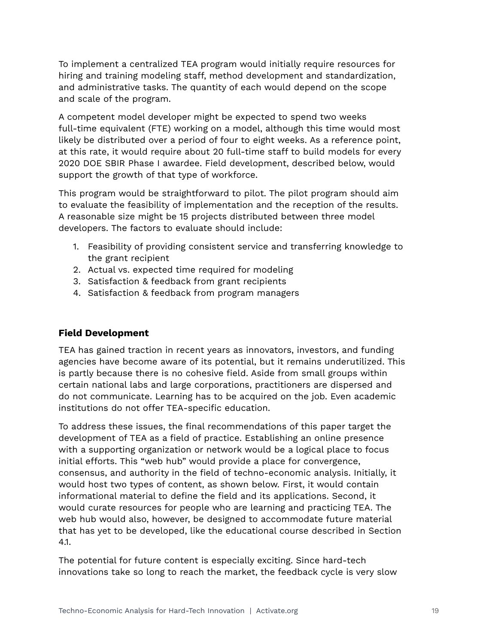To implement a centralized TEA program would initially require resources for hiring and training modeling staff, method development and standardization, and administrative tasks. The quantity of each would depend on the scope and scale of the program.

A competent model developer might be expected to spend two weeks full-time equivalent (FTE) working on a model, although this time would most likely be distributed over a period of four to eight weeks. As a reference point, at this rate, it would require about 20 full-time staff to build models for every 2020 DOE SBIR Phase I awardee. Field development, described below, would support the growth of that type of workforce.

This program would be straightforward to pilot. The pilot program should aim to evaluate the feasibility of implementation and the reception of the results. A reasonable size might be 15 projects distributed between three model developers. The factors to evaluate should include:

- 1. Feasibility of providing consistent service and transferring knowledge to the grant recipient
- 2. Actual vs. expected time required for modeling
- 3. Satisfaction & feedback from grant recipients
- 4. Satisfaction & feedback from program managers

# <span id="page-18-0"></span>**Field Development**

TEA has gained traction in recent years as innovators, investors, and funding agencies have become aware of its potential, but it remains underutilized. This is partly because there is no cohesive field. Aside from small groups within certain national labs and large corporations, practitioners are dispersed and do not communicate. Learning has to be acquired on the job. Even academic institutions do not offer TEA-specific education.

To address these issues, the final recommendations of this paper target the development of TEA as a field of practice. Establishing an online presence with a supporting organization or network would be a logical place to focus initial efforts. This "web hub" would provide a place for convergence, consensus, and authority in the field of techno-economic analysis. Initially, it would host two types of content, as shown below. First, it would contain informational material to define the field and its applications. Second, it would curate resources for people who are learning and practicing TEA. The web hub would also, however, be designed to accommodate future material that has yet to be developed, like the educational course described in Section 4.1.

The potential for future content is especially exciting. Since hard-tech innovations take so long to reach the market, the feedback cycle is very slow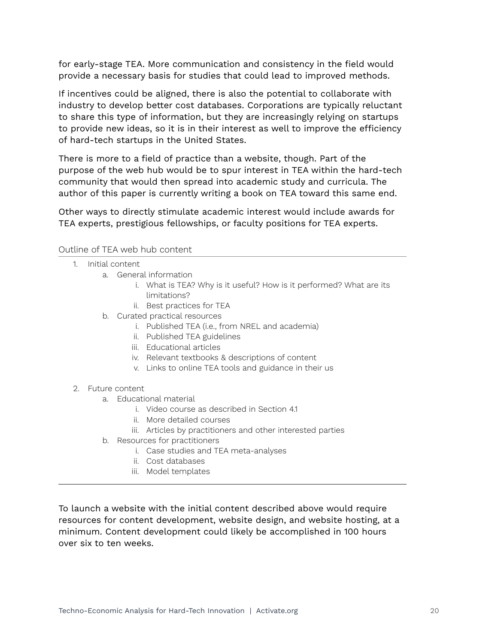for early-stage TEA. More communication and consistency in the field would provide a necessary basis for studies that could lead to improved methods.

If incentives could be aligned, there is also the potential to collaborate with industry to develop better cost databases. Corporations are typically reluctant to share this type of information, but they are increasingly relying on startups to provide new ideas, so it is in their interest as well to improve the efficiency of hard-tech startups in the United States.

There is more to a field of practice than a website, though. Part of the purpose of the web hub would be to spur interest in TEA within the hard-tech community that would then spread into academic study and curricula. The author of this paper is currently writing a book on TEA toward this same end.

Other ways to directly stimulate academic interest would include awards for TEA experts, prestigious fellowships, or faculty positions for TEA experts.

#### Outline of TEA web hub content

- 1. Initial content
	- a. General information
		- i. What is TEA? Why is it useful? How is it performed? What are its limitations?
		- ii. Best practices for TEA
	- b. Curated practical resources
		- i. Published TEA (i.e., from NREL and academia)
		- ii. Published TEA guidelines
		- iii. Educational articles
		- iv. Relevant textbooks & descriptions of content
		- v. Links to online TEA tools and guidance in their us
- 2. Future content
	- a. Educational material
		- i. Video course as described in Section 4.1
		- ii. More detailed courses
		- iii. Articles by practitioners and other interested parties
	- b. Resources for practitioners
		- i. Case studies and TEA meta-analyses
		- ii. Cost databases
		- iii. Model templates

To launch a website with the initial content described above would require resources for content development, website design, and website hosting, at a minimum. Content development could likely be accomplished in 100 hours over six to ten weeks.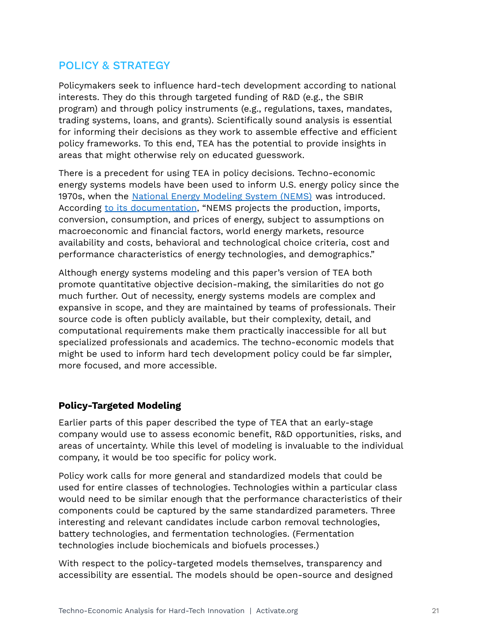# POLICY & STRATEGY

Policymakers seek to influence hard-tech development according to national interests. They do this through targeted funding of R&D (e.g., the SBIR program) and through policy instruments (e.g., regulations, taxes, mandates, trading systems, loans, and grants). Scientifically sound analysis is essential for informing their decisions as they work to assemble effective and efficient policy frameworks. To this end, TEA has the potential to provide insights in areas that might otherwise rely on educated guesswork.

There is a precedent for using TEA in policy decisions. Techno-economic energy systems models have been used to inform U.S. energy policy since the 1970s, when the National Energy [Modeling](http://www.eia.gov/outlooks/aeo/nems/documentation/ngmm/pdf/ngmm(2020).pdf) System (NEMS) was introduced. According to its [documentation](https://www.eia.gov/outlooks/aeo/nems/overview/pdf/0581(2018).pdf), "NEMS projects the production, imports, conversion, consumption, and prices of energy, subject to assumptions on macroeconomic and financial factors, world energy markets, resource availability and costs, behavioral and technological choice criteria, cost and performance characteristics of energy technologies, and demographics."

Although energy systems modeling and this paper's version of TEA both promote quantitative objective decision-making, the similarities do not go much further. Out of necessity, energy systems models are complex and expansive in scope, and they are maintained by teams of professionals. Their source code is often publicly available, but their complexity, detail, and computational requirements make them practically inaccessible for all but specialized professionals and academics. The techno-economic models that might be used to inform hard tech development policy could be far simpler, more focused, and more accessible.

## <span id="page-20-0"></span>**Policy-Targeted Modeling**

Earlier parts of this paper described the type of TEA that an early-stage company would use to assess economic benefit, R&D opportunities, risks, and areas of uncertainty. While this level of modeling is invaluable to the individual company, it would be too specific for policy work.

Policy work calls for more general and standardized models that could be used for entire classes of technologies. Technologies within a particular class would need to be similar enough that the performance characteristics of their components could be captured by the same standardized parameters. Three interesting and relevant candidates include carbon removal technologies, battery technologies, and fermentation technologies. (Fermentation technologies include biochemicals and biofuels processes.)

With respect to the policy-targeted models themselves, transparency and accessibility are essential. The models should be open-source and designed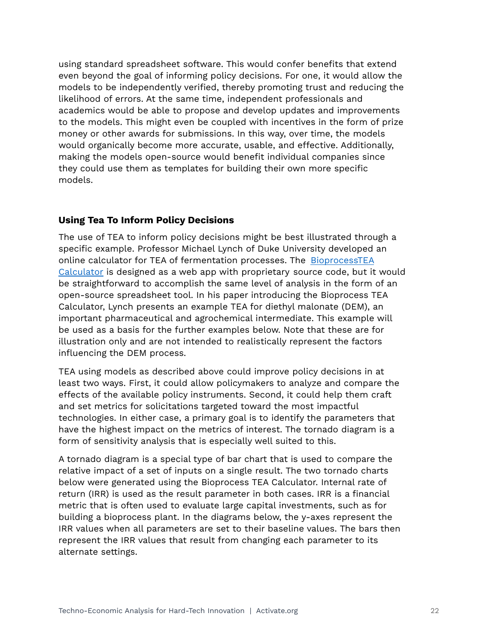using standard spreadsheet software. This would confer benefits that extend even beyond the goal of informing policy decisions. For one, it would allow the models to be independently verified, thereby promoting trust and reducing the likelihood of errors. At the same time, independent professionals and academics would be able to propose and develop updates and improvements to the models. This might even be coupled with incentives in the form of prize money or other awards for submissions. In this way, over time, the models would organically become more accurate, usable, and effective. Additionally, making the models open-source would benefit individual companies since they could use them as templates for building their own more specific models.

## <span id="page-21-0"></span>**Using Tea To Inform Policy Decisions**

The use of TEA to inform policy decisions might be best illustrated through a specific example. Professor Michael Lynch of Duke University developed an online calculator for TEA of fermentation processes. The [BioprocessTEA](http://www.bioprocesstea.com/) [Calculator](http://www.bioprocesstea.com/) is designed as a web app with proprietary source code, but it would be straightforward to accomplish the same level of analysis in the form of an open-source spreadsheet tool. In his paper introducing the Bioprocess TEA Calculator, Lynch presents an example TEA for diethyl malonate (DEM), an important pharmaceutical and agrochemical intermediate. This example will be used as a basis for the further examples below. Note that these are for illustration only and are not intended to realistically represent the factors influencing the DEM process.

TEA using models as described above could improve policy decisions in at least two ways. First, it could allow policymakers to analyze and compare the effects of the available policy instruments. Second, it could help them craft and set metrics for solicitations targeted toward the most impactful technologies. In either case, a primary goal is to identify the parameters that have the highest impact on the metrics of interest. The tornado diagram is a form of sensitivity analysis that is especially well suited to this.

A tornado diagram is a special type of bar chart that is used to compare the relative impact of a set of inputs on a single result. The two tornado charts below were generated using the Bioprocess TEA Calculator. Internal rate of return (IRR) is used as the result parameter in both cases. IRR is a financial metric that is often used to evaluate large capital investments, such as for building a bioprocess plant. In the diagrams below, the y-axes represent the IRR values when all parameters are set to their baseline values. The bars then represent the IRR values that result from changing each parameter to its alternate settings.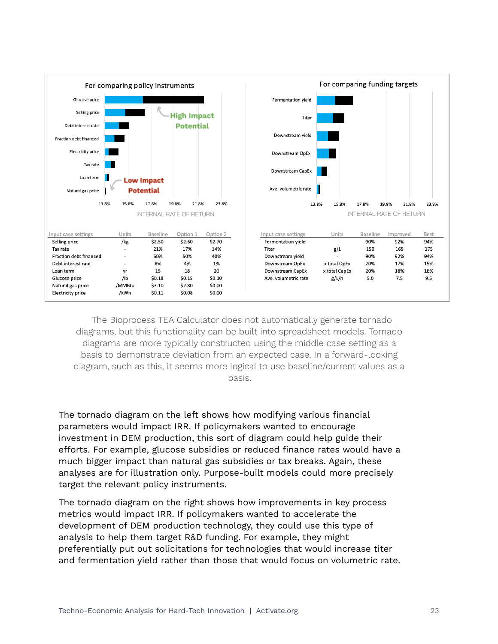

The Bioprocess TEA Calculator does not automatically generate tornado diagrams, but this functionality can be built into spreadsheet models. Tornado diagrams are more typically constructed using the middle case setting as a basis to demonstrate deviation from an expected case. In a forward-looking diagram, such as this, it seems more logical to use baseline/current values as a basis.

The tornado diagram on the left shows how modifying various financial parameters would impact IRR. If policymakers wanted to encourage investment in DEM production, this sort of diagram could help guide their efforts. For example, glucose subsidies or reduced finance rates would have a much bigger impact than natural gas subsidies or tax breaks. Again, these analyses are for illustration only. Purpose-built models could more precisely target the relevant policy instruments.

The tornado diagram on the right shows how improvements in key process metrics would impact IRR. If policymakers wanted to accelerate the development of DEM production technology, they could use this type of analysis to help them target R&D funding. For example, they might preferentially put out solicitations for technologies that would increase titer and fermentation yield rather than those that would focus on volumetric rate.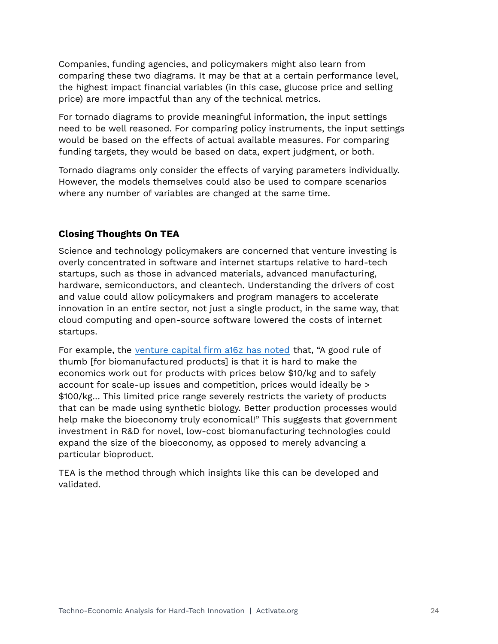Companies, funding agencies, and policymakers might also learn from comparing these two diagrams. It may be that at a certain performance level, the highest impact financial variables (in this case, glucose price and selling price) are more impactful than any of the technical metrics.

For tornado diagrams to provide meaningful information, the input settings need to be well reasoned. For comparing policy instruments, the input settings would be based on the effects of actual available measures. For comparing funding targets, they would be based on data, expert judgment, or both.

Tornado diagrams only consider the effects of varying parameters individually. However, the models themselves could also be used to compare scenarios where any number of variables are changed at the same time.

# <span id="page-23-0"></span>**Closing Thoughts On TEA**

Science and technology policymakers are concerned that venture investing is overly concentrated in software and internet startups relative to hard-tech startups, such as those in advanced materials, advanced manufacturing, hardware, semiconductors, and cleantech. Understanding the drivers of cost and value could allow policymakers and program managers to accelerate innovation in an entire sector, not just a single product, in the same way, that cloud computing and open-source software lowered the costs of internet startups.

For example, the [venture](https://a16z.com/2020/12/05/the-biggest-open-opportunity-in-synthetic-biology/) capital firm a16z has noted that, "A good rule of thumb [for biomanufactured products] is that it is hard to make the economics work out for products with prices below \$10/kg and to safely account for scale-up issues and competition, prices would ideally be > \$100/kg… This limited price range severely restricts the variety of products that can be made using synthetic biology. Better production processes would help make the bioeconomy truly economical!" This suggests that government investment in R&D for novel, low-cost biomanufacturing technologies could expand the size of the bioeconomy, as opposed to merely advancing a particular bioproduct.

TEA is the method through which insights like this can be developed and validated.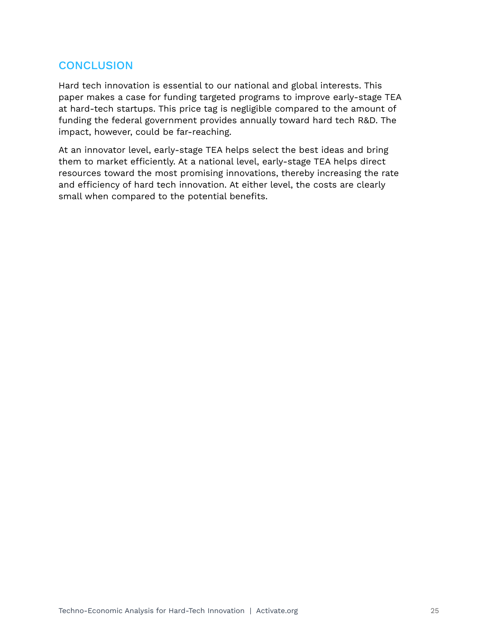# <span id="page-24-0"></span>**CONCLUSION**

Hard tech innovation is essential to our national and global interests. This paper makes a case for funding targeted programs to improve early-stage TEA at hard-tech startups. This price tag is negligible compared to the amount of funding the federal government provides annually toward hard tech R&D. The impact, however, could be far-reaching.

At an innovator level, early-stage TEA helps select the best ideas and bring them to market efficiently. At a national level, early-stage TEA helps direct resources toward the most promising innovations, thereby increasing the rate and efficiency of hard tech innovation. At either level, the costs are clearly small when compared to the potential benefits.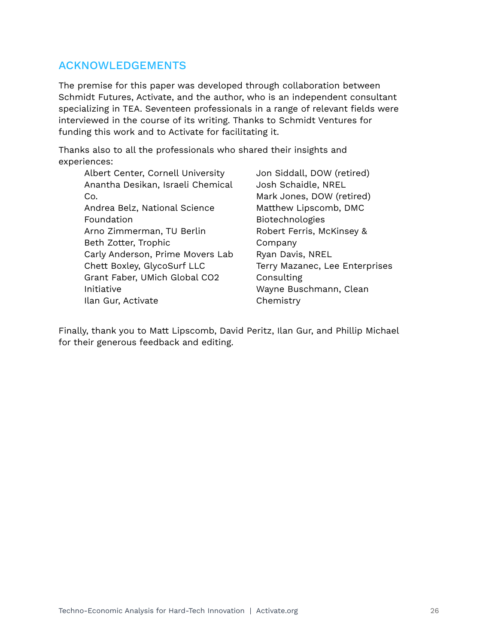# <span id="page-25-0"></span>ACKNOWLEDGEMENTS

The premise for this paper was developed through collaboration between Schmidt Futures, Activate, and the author, who is an independent consultant specializing in TEA. Seventeen professionals in a range of relevant fields were interviewed in the course of its writing. Thanks to Schmidt Ventures for funding this work and to Activate for facilitating it.

Thanks also to all the professionals who shared their insights and experiences:

| Albert Center, Cornell University | J |
|-----------------------------------|---|
| Anantha Desikan, Israeli Chemical | J |
| Co.                               | Ν |
| Andrea Belz, National Science     | N |
| Foundation                        | E |
| Arno Zimmerman, TU Berlin         | R |
| Beth Zotter, Trophic              | C |
| Carly Anderson, Prime Movers Lab  | R |
| Chett Boxley, GlycoSurf LLC       | т |
| Grant Faber, UMich Global CO2     | C |
| Initiative                        | V |
| Ilan Gur, Activate                |   |

Jon Siddall, DOW (retired) Josh Schaidle, NREL Mark Jones, DOW (retired) Matthew Lipscomb, DMC Biotechnologies Robert Ferris, McKinsey & Company Ryan Davis, NREL erry Mazanec, Lee Enterprises Consulting Wayne Buschmann, Clean Chemistry

Finally, thank you to Matt Lipscomb, David Peritz, Ilan Gur, and Phillip Michael for their generous feedback and editing.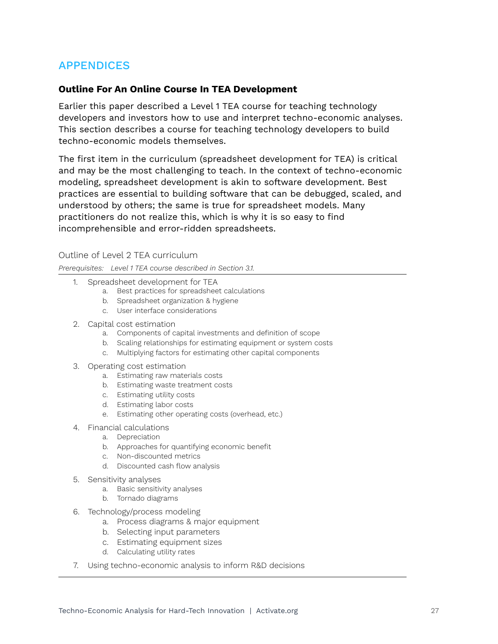# <span id="page-26-0"></span>APPENDICES

#### **Outline For An Online Course In TEA Development**

Earlier this paper described a Level 1 TEA course for teaching technology developers and investors how to use and interpret techno-economic analyses. This section describes a course for teaching technology developers to build techno-economic models themselves.

The first item in the curriculum (spreadsheet development for TEA) is critical and may be the most challenging to teach. In the context of techno-economic modeling, spreadsheet development is akin to software development. Best practices are essential to building software that can be debugged, scaled, and understood by others; the same is true for spreadsheet models. Many practitioners do not realize this, which is why it is so easy to find incomprehensible and error-ridden spreadsheets.

Outline of Level 2 TEA curriculum

*Prerequisites: Level 1 TEA course described in Section 3.1.*

- 1. Spreadsheet development for TEA
	- a. Best practices for spreadsheet calculations
	- b. Spreadsheet organization & hygiene
	- c. User interface considerations
- 2. Capital cost estimation
	- a. Components of capital investments and definition of scope
	- b. Scaling relationships for estimating equipment or system costs
	- c. Multiplying factors for estimating other capital components
- 3. Operating cost estimation
	- a. Estimating raw materials costs
	- b. Estimating waste treatment costs
	- c. Estimating utility costs
	- d. Estimating labor costs
	- e. Estimating other operating costs (overhead, etc.)
- 4. Financial calculations
	- a. Depreciation
		- b. Approaches for quantifying economic benefit
		- c. Non-discounted metrics
		- d. Discounted cash flow analysis
- 5. Sensitivity analyses
	- a. Basic sensitivity analyses
	- b. Tornado diagrams
- 6. Technology/process modeling
	- a. Process diagrams & major equipment
	- b. Selecting input parameters
	- c. Estimating equipment sizes
	- d. Calculating utility rates
- 7. Using techno-economic analysis to inform R&D decisions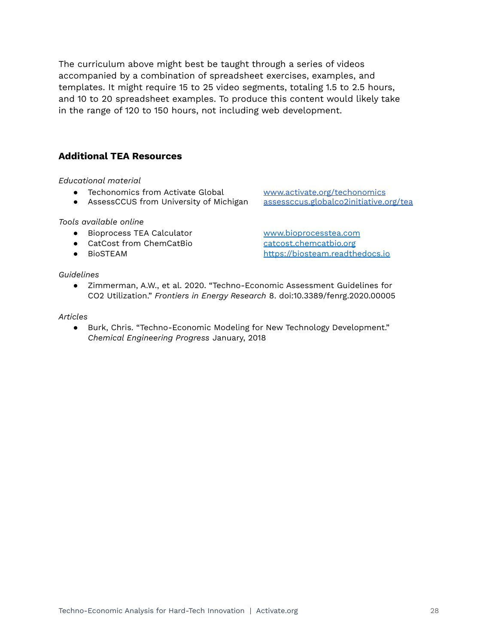The curriculum above might best be taught through a series of videos accompanied by a combination of spreadsheet exercises, examples, and templates. It might require 15 to 25 video segments, totaling 1.5 to 2.5 hours, and 10 to 20 spreadsheet examples. To produce this content would likely take in the range of 120 to 150 hours, not including web development.

## **Additional TEA Resources**

*Educational material*

- 
- AssessCCUS from University of Michigan

*Tools available online*

- Bioprocess TEA Calculator [www.bioprocesstea.com](http://www.bioprocesstea.com/)
- CatCost from ChemCatBio [catcost.chemcatbio.org](https://catcost.chemcatbio.org/)
- 

#### *Guidelines*

● Techonomics from Activate Global [www.activate.org/techonomics](http://www.activate.org/techonomics)<br>● AssessCCUS from University of Michigan assessccus.globalco2initiative.org/tea

● BioSTEAM <https://biosteam.readthedocs.io>

● Zimmerman, A.W., et al. 2020. "Techno-Economic Assessment Guidelines for CO2 Utilization." *Frontiers in Energy Research* 8. doi:10.3389/fenrg.2020.00005

#### *Articles*

● Burk, Chris. "Techno-Economic Modeling for New Technology Development." *Chemical Engineering Progress* January, 2018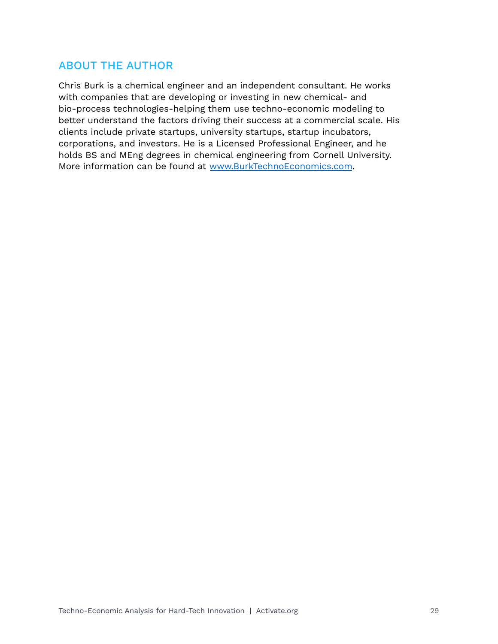# ABOUT THE AUTHOR

Chris Burk is a chemical engineer and an independent consultant. He works with companies that are developing or investing in new chemical- and bio-process technologies-helping them use techno-economic modeling to better understand the factors driving their success at a commercial scale. His clients include private startups, university startups, startup incubators, corporations, and investors. He is a Licensed Professional Engineer, and he holds BS and MEng degrees in chemical engineering from Cornell University. More information can be found at [www.BurkTechnoEconomics.com](http://www.burktechnoeconomics.com).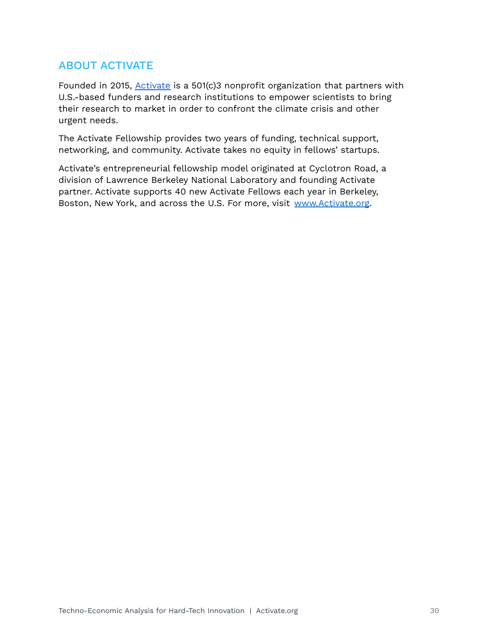# ABOUT ACTIVATE

Founded in 2015, [Activate](http://activate.org) is a 501(c)3 nonprofit organization that partners with U.S.-based funders and research institutions to empower scientists to bring their research to market in order to confront the climate crisis and other urgent needs.

The Activate Fellowship provides two years of funding, technical support, networking, and community. Activate takes no equity in fellows' startups.

Activate's entrepreneurial fellowship model originated at Cyclotron Road, a division of Lawrence Berkeley National Laboratory and founding Activate partner. Activate supports 40 new Activate Fellows each year in Berkeley, Boston, New York, and across the U.S. For more, visit [www.Activate.org](http://www.activate.org).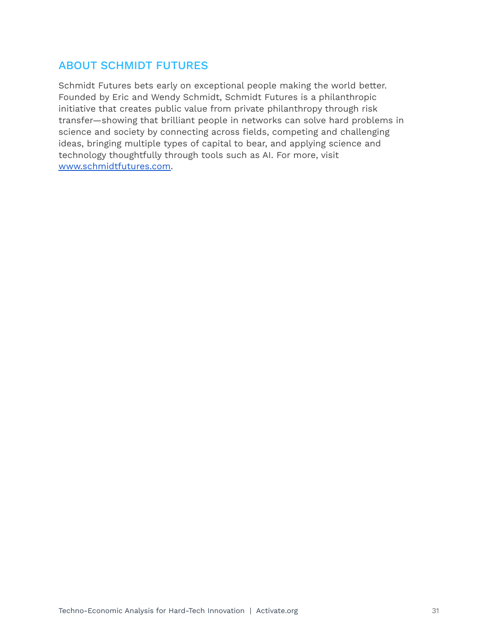# ABOUT SCHMIDT FUTURES

Schmidt Futures bets early on exceptional people making the world better. Founded by Eric and Wendy Schmidt, Schmidt Futures is a philanthropic initiative that creates public value from private philanthropy through risk transfer—showing that brilliant people in networks can solve hard problems in science and society by connecting across fields, competing and challenging ideas, bringing multiple types of capital to bear, and applying science and technology thoughtfully through tools such as AI. For more, visit [www.schmidtfutures.com.](http://www.schmidtfutures.com)